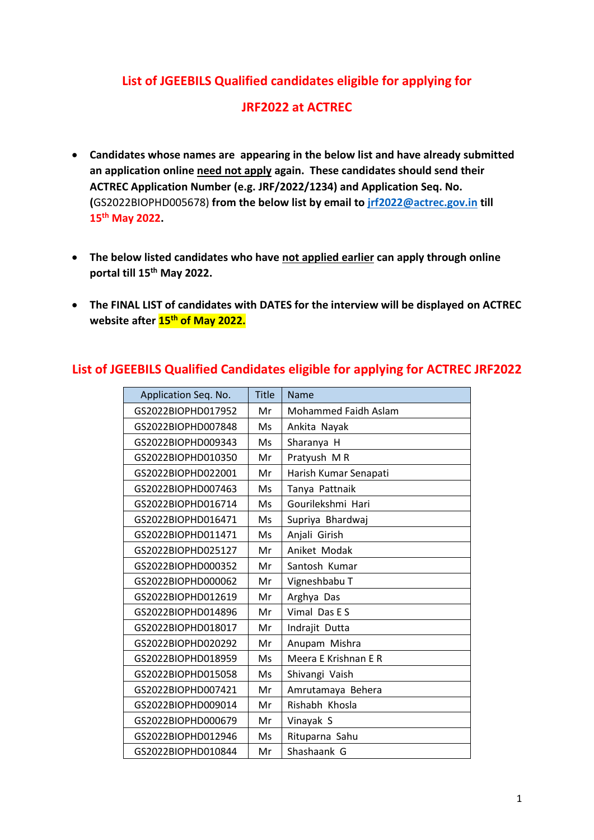## **List of JGEEBILS Qualified candidates eligible for applying for**

## **JRF2022 at ACTREC**

- **Candidates whose names are appearing in the below list and have already submitted an application online need not apply again. These candidates should send their ACTREC Application Number (e.g. JRF/2022/1234) and Application Seq. No. (**GS2022BIOPHD005678) **from the below list by email to [jrf2022@actrec.gov.in](mailto:jrf2022@actrec.gov.in) till 15th May 2022.**
- **The below listed candidates who have not applied earlier can apply through online portal till 15th May 2022.**
- **The FINAL LIST of candidates with DATES for the interview will be displayed on ACTREC website after 15th of May 2022.**

| Application Seq. No. | <b>Title</b> | Name                  |
|----------------------|--------------|-----------------------|
| GS2022BIOPHD017952   | Mr           | Mohammed Faidh Aslam  |
| GS2022BIOPHD007848   | Ms           | Ankita Nayak          |
| GS2022BIOPHD009343   | Ms           | Sharanya H            |
| GS2022BIOPHD010350   | Mr           | Pratyush MR           |
| GS2022BIOPHD022001   | Mr           | Harish Kumar Senapati |
| GS2022BIOPHD007463   | Ms           | Tanya Pattnaik        |
| GS2022BIOPHD016714   | Ms           | Gourilekshmi Hari     |
| GS2022BIOPHD016471   | Ms           | Supriya Bhardwaj      |
| GS2022BIOPHD011471   | Ms           | Anjali Girish         |
| GS2022BIOPHD025127   | Mr           | Aniket Modak          |
| GS2022BIOPHD000352   | Mr           | Santosh Kumar         |
| GS2022BIOPHD000062   | Mr           | Vigneshbabu T         |
| GS2022BIOPHD012619   | Mr           | Arghya Das            |
| GS2022BIOPHD014896   | Mr           | Vimal Das E S         |
| GS2022BIOPHD018017   | Mr           | Indrajit Dutta        |
| GS2022BIOPHD020292   | Mr           | Anupam Mishra         |
| GS2022BIOPHD018959   | Ms           | Meera E Krishnan E R  |
| GS2022BIOPHD015058   | Ms           | Shivangi Vaish        |
| GS2022BIOPHD007421   | Mr           | Amrutamaya Behera     |
| GS2022BIOPHD009014   | Mr           | Rishabh Khosla        |
| GS2022BIOPHD000679   | Mr           | Vinayak S             |
| GS2022BIOPHD012946   | Ms           | Rituparna Sahu        |
| GS2022BIOPHD010844   | Mr           | Shashaank G           |
|                      |              |                       |

## **List of JGEEBILS Qualified Candidates eligible for applying for ACTREC JRF2022**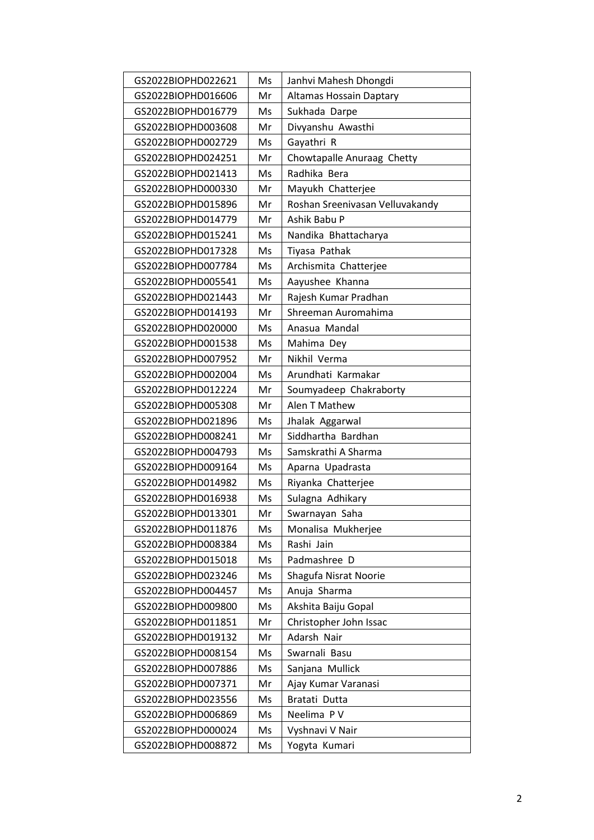| GS2022BIOPHD022621 | Ms | Janhvi Mahesh Dhongdi           |
|--------------------|----|---------------------------------|
| GS2022BIOPHD016606 | Mr | <b>Altamas Hossain Daptary</b>  |
| GS2022BIOPHD016779 | Ms | Sukhada Darpe                   |
| GS2022BIOPHD003608 | Mr | Divyanshu Awasthi               |
| GS2022BIOPHD002729 | Ms | Gayathri R                      |
| GS2022BIOPHD024251 | Mr | Chowtapalle Anuraag Chetty      |
| GS2022BIOPHD021413 | Ms | Radhika Bera                    |
| GS2022BIOPHD000330 | Mr | Mayukh Chatterjee               |
| GS2022BIOPHD015896 | Mr | Roshan Sreenivasan Velluvakandy |
| GS2022BIOPHD014779 | Mr | Ashik Babu P                    |
| GS2022BIOPHD015241 | Ms | Nandika Bhattacharya            |
| GS2022BIOPHD017328 | Ms | Tiyasa Pathak                   |
| GS2022BIOPHD007784 | Ms | Archismita Chatterjee           |
| GS2022BIOPHD005541 | Ms | Aayushee Khanna                 |
| GS2022BIOPHD021443 | Mr | Rajesh Kumar Pradhan            |
| GS2022BIOPHD014193 | Mr | Shreeman Auromahima             |
| GS2022BIOPHD020000 | Ms | Anasua Mandal                   |
| GS2022BIOPHD001538 | Ms | Mahima Dey                      |
| GS2022BIOPHD007952 | Mr | Nikhil Verma                    |
| GS2022BIOPHD002004 | Ms | Arundhati Karmakar              |
| GS2022BIOPHD012224 | Mr | Soumyadeep Chakraborty          |
| GS2022BIOPHD005308 | Mr | Alen T Mathew                   |
| GS2022BIOPHD021896 | Ms | Jhalak Aggarwal                 |
| GS2022BIOPHD008241 | Mr | Siddhartha Bardhan              |
| GS2022BIOPHD004793 | Ms | Samskrathi A Sharma             |
| GS2022BIOPHD009164 | Ms | Aparna Upadrasta                |
| GS2022BIOPHD014982 | Ms | Riyanka Chatterjee              |
| GS2022BIOPHD016938 | Ms | Sulagna Adhikary                |
| GS2022BIOPHD013301 | Mr | Swarnayan Saha                  |
| GS2022BIOPHD011876 | Ms | Monalisa Mukherjee              |
| GS2022BIOPHD008384 | Ms | Rashi Jain                      |
| GS2022BIOPHD015018 | Ms | Padmashree D                    |
| GS2022BIOPHD023246 | Ms | Shagufa Nisrat Noorie           |
| GS2022BIOPHD004457 | Ms | Anuja Sharma                    |
| GS2022BIOPHD009800 | Ms | Akshita Baiju Gopal             |
| GS2022BIOPHD011851 | Mr | Christopher John Issac          |
| GS2022BIOPHD019132 | Mr | Adarsh Nair                     |
| GS2022BIOPHD008154 | Ms | Swarnali Basu                   |
| GS2022BIOPHD007886 | Ms | Sanjana Mullick                 |
| GS2022BIOPHD007371 | Mr | Ajay Kumar Varanasi             |
| GS2022BIOPHD023556 | Ms | Bratati Dutta                   |
| GS2022BIOPHD006869 | Ms | Neelima PV                      |
| GS2022BIOPHD000024 | Ms | Vyshnavi V Nair                 |
| GS2022BIOPHD008872 | Ms | Yogyta Kumari                   |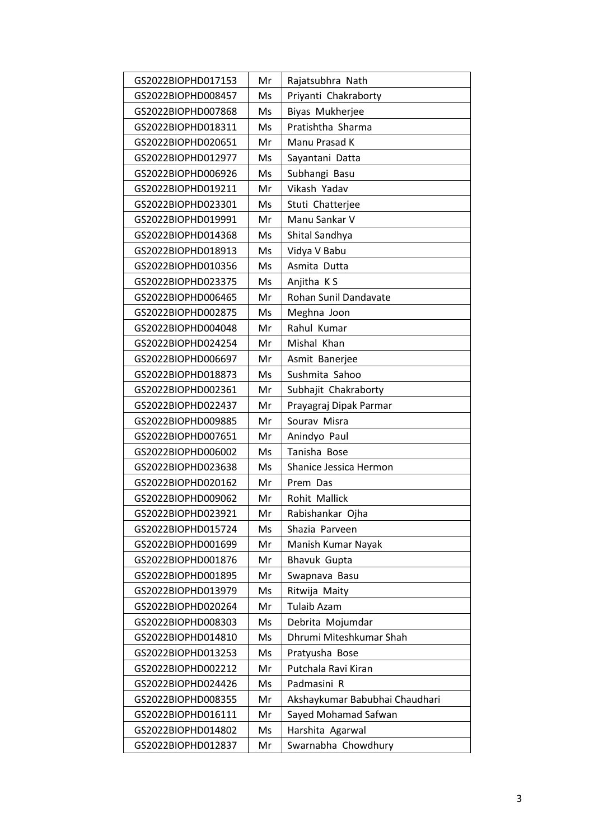| GS2022BIOPHD017153 | Mr | Rajatsubhra Nath               |
|--------------------|----|--------------------------------|
| GS2022BIOPHD008457 | Ms | Priyanti Chakraborty           |
| GS2022BIOPHD007868 | Ms | Biyas Mukherjee                |
| GS2022BIOPHD018311 | Ms | Pratishtha Sharma              |
| GS2022BIOPHD020651 | Mr | Manu Prasad K                  |
| GS2022BIOPHD012977 | Ms | Sayantani Datta                |
| GS2022BIOPHD006926 | Ms | Subhangi Basu                  |
| GS2022BIOPHD019211 | Mr | Vikash Yadav                   |
| GS2022BIOPHD023301 | Ms | Stuti Chatterjee               |
| GS2022BIOPHD019991 | Mr | Manu Sankar V                  |
| GS2022BIOPHD014368 | Ms | Shital Sandhya                 |
| GS2022BIOPHD018913 | Ms | Vidya V Babu                   |
| GS2022BIOPHD010356 | Ms | Asmita Dutta                   |
| GS2022BIOPHD023375 | Ms | Anjitha KS                     |
| GS2022BIOPHD006465 | Mr | Rohan Sunil Dandavate          |
| GS2022BIOPHD002875 | Ms | Meghna Joon                    |
| GS2022BIOPHD004048 | Mr | Rahul Kumar                    |
| GS2022BIOPHD024254 | Mr | Mishal Khan                    |
| GS2022BIOPHD006697 | Mr | Asmit Banerjee                 |
| GS2022BIOPHD018873 | Ms | Sushmita Sahoo                 |
| GS2022BIOPHD002361 | Mr | Subhajit Chakraborty           |
| GS2022BIOPHD022437 | Mr | Prayagraj Dipak Parmar         |
| GS2022BIOPHD009885 | Mr | Sourav Misra                   |
| GS2022BIOPHD007651 | Mr | Anindyo Paul                   |
| GS2022BIOPHD006002 | Ms | Tanisha Bose                   |
| GS2022BIOPHD023638 | Ms | Shanice Jessica Hermon         |
| GS2022BIOPHD020162 | Mr | Prem Das                       |
| GS2022BIOPHD009062 | Mr | Rohit Mallick                  |
| GS2022BIOPHD023921 | Mr | Rabishankar Ojha               |
| GS2022BIOPHD015724 | Ms | Shazia Parveen                 |
| GS2022BIOPHD001699 | Mr | Manish Kumar Nayak             |
| GS2022BIOPHD001876 | Mr | <b>Bhavuk Gupta</b>            |
| GS2022BIOPHD001895 | Mr | Swapnava Basu                  |
| GS2022BIOPHD013979 | Ms | Ritwija Maity                  |
| GS2022BIOPHD020264 | Mr | <b>Tulaib Azam</b>             |
| GS2022BIOPHD008303 | Ms | Debrita Mojumdar               |
| GS2022BIOPHD014810 | Ms | Dhrumi Miteshkumar Shah        |
| GS2022BIOPHD013253 | Ms | Pratyusha Bose                 |
| GS2022BIOPHD002212 | Mr | Putchala Ravi Kiran            |
| GS2022BIOPHD024426 | Ms | Padmasini R                    |
| GS2022BIOPHD008355 | Mr | Akshaykumar Babubhai Chaudhari |
| GS2022BIOPHD016111 | Mr | Sayed Mohamad Safwan           |
| GS2022BIOPHD014802 | Ms | Harshita Agarwal               |
| GS2022BIOPHD012837 | Mr | Swarnabha Chowdhury            |
|                    |    |                                |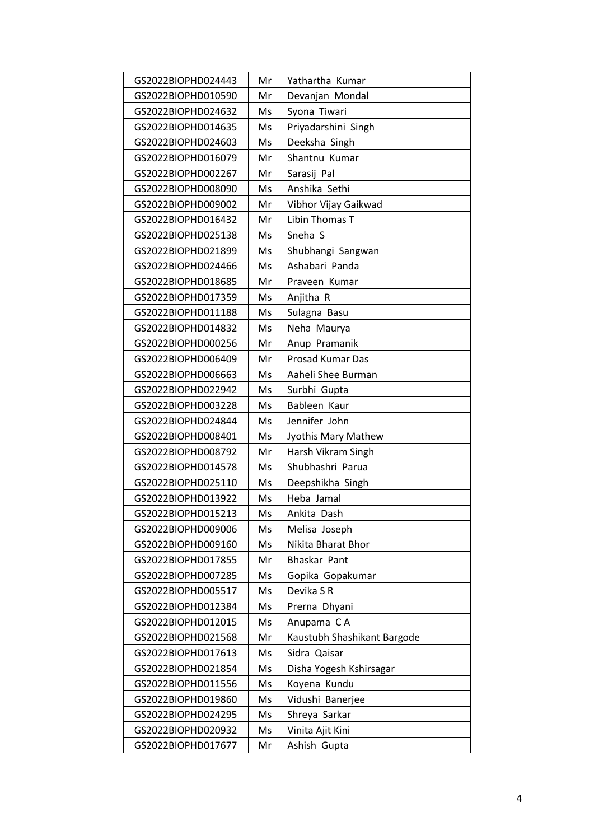| GS2022BIOPHD024443 | Mr | Yathartha Kumar             |
|--------------------|----|-----------------------------|
| GS2022BIOPHD010590 | Mr | Devanjan Mondal             |
| GS2022BIOPHD024632 | Ms | Syona Tiwari                |
| GS2022BIOPHD014635 | Ms | Priyadarshini Singh         |
| GS2022BIOPHD024603 | Ms | Deeksha Singh               |
| GS2022BIOPHD016079 | Mr | Shantnu Kumar               |
| GS2022BIOPHD002267 | Mr | Sarasij Pal                 |
| GS2022BIOPHD008090 | Ms | Anshika Sethi               |
| GS2022BIOPHD009002 | Mr | Vibhor Vijay Gaikwad        |
| GS2022BIOPHD016432 | Mr | Libin Thomas T              |
| GS2022BIOPHD025138 | Ms | Sneha S                     |
| GS2022BIOPHD021899 | Ms | Shubhangi Sangwan           |
| GS2022BIOPHD024466 | Ms | Ashabari Panda              |
| GS2022BIOPHD018685 | Mr | Praveen Kumar               |
| GS2022BIOPHD017359 | Ms | Anjitha R                   |
| GS2022BIOPHD011188 | Ms | Sulagna Basu                |
| GS2022BIOPHD014832 | Ms | Neha Maurya                 |
| GS2022BIOPHD000256 | Mr | Anup Pramanik               |
| GS2022BIOPHD006409 | Mr | Prosad Kumar Das            |
| GS2022BIOPHD006663 | Ms | Aaheli Shee Burman          |
| GS2022BIOPHD022942 | Ms | Surbhi Gupta                |
| GS2022BIOPHD003228 | Ms | Bableen Kaur                |
| GS2022BIOPHD024844 | Ms | Jennifer John               |
| GS2022BIOPHD008401 | Ms | Jyothis Mary Mathew         |
| GS2022BIOPHD008792 | Mr | Harsh Vikram Singh          |
| GS2022BIOPHD014578 | Ms | Shubhashri Parua            |
| GS2022BIOPHD025110 | Ms | Deepshikha Singh            |
| GS2022BIOPHD013922 | Ms | Heba Jamal                  |
| GS2022BIOPHD015213 | Ms | Ankita Dash                 |
| GS2022BIOPHD009006 | Ms | Melisa Joseph               |
| GS2022BIOPHD009160 | Ms | Nikita Bharat Bhor          |
| GS2022BIOPHD017855 | Mr | Bhaskar Pant                |
| GS2022BIOPHD007285 | Ms | Gopika Gopakumar            |
| GS2022BIOPHD005517 | Ms | Devika SR                   |
| GS2022BIOPHD012384 | Ms | Prerna Dhyani               |
| GS2022BIOPHD012015 | Ms | Anupama CA                  |
| GS2022BIOPHD021568 | Mr | Kaustubh Shashikant Bargode |
| GS2022BIOPHD017613 | Ms | Sidra Qaisar                |
| GS2022BIOPHD021854 | Ms | Disha Yogesh Kshirsagar     |
| GS2022BIOPHD011556 | Ms | Koyena Kundu                |
| GS2022BIOPHD019860 | Ms | Vidushi Banerjee            |
| GS2022BIOPHD024295 | Ms | Shreya Sarkar               |
| GS2022BIOPHD020932 | Ms | Vinita Ajit Kini            |
| GS2022BIOPHD017677 | Mr | Ashish Gupta                |